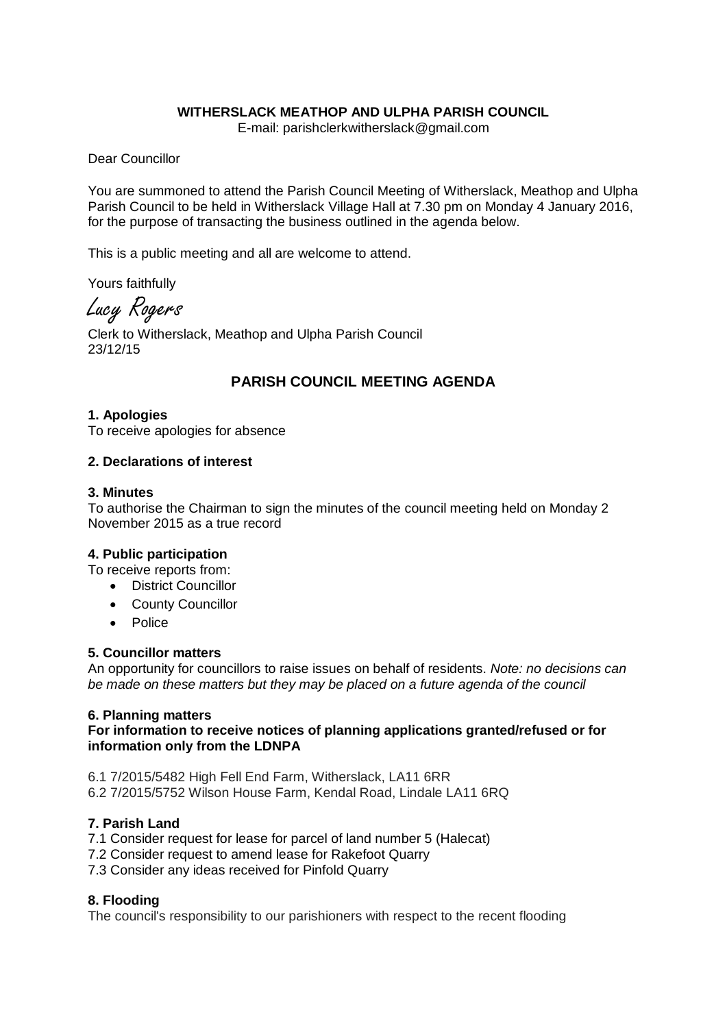# **WITHERSLACK MEATHOP AND ULPHA PARISH COUNCIL**

E-mail: parishclerkwitherslack@gmail.com

Dear Councillor

You are summoned to attend the Parish Council Meeting of Witherslack, Meathop and Ulpha Parish Council to be held in Witherslack Village Hall at 7.30 pm on Monday 4 January 2016, for the purpose of transacting the business outlined in the agenda below.

This is a public meeting and all are welcome to attend.

Yours faithfully

Lucy Rogers

Clerk to Witherslack, Meathop and Ulpha Parish Council 23/12/15

# **PARISH COUNCIL MEETING AGENDA**

### **1. Apologies**

To receive apologies for absence

### **2. Declarations of interest**

### **3. Minutes**

To authorise the Chairman to sign the minutes of the council meeting held on Monday 2 November 2015 as a true record

### **4. Public participation**

To receive reports from:

- District Councillor
- County Councillor
- Police

### **5. Councillor matters**

An opportunity for councillors to raise issues on behalf of residents. *Note: no decisions can be made on these matters but they may be placed on a future agenda of the council*

# **6. Planning matters**

# **For information to receive notices of planning applications granted/refused or for information only from the LDNPA**

6.1 7/2015/5482 High Fell End Farm, Witherslack, LA11 6RR 6.2 7/2015/5752 Wilson House Farm, Kendal Road, Lindale LA11 6RQ

# **7. Parish Land**

- 7.1 Consider request for lease for parcel of land number 5 (Halecat)
- 7.2 Consider request to amend lease for Rakefoot Quarry
- 7.3 Consider any ideas received for Pinfold Quarry

# **8. Flooding**

The council's responsibility to our parishioners with respect to the recent flooding